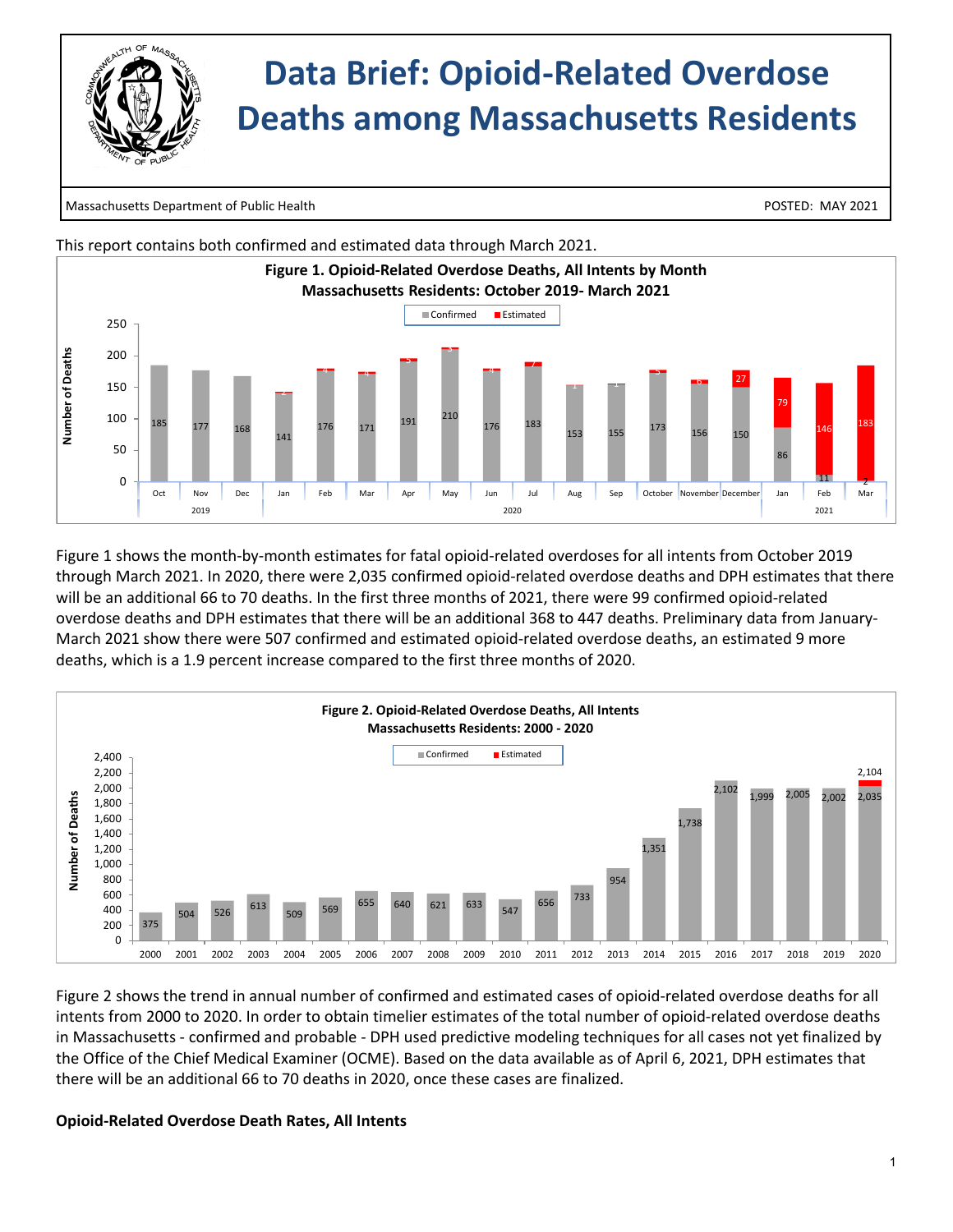

 $\overline{\phantom{a}}$ 

# **Data Brief: Opioid-Related Overdose Deaths among Massachusetts Residents**

Massachusetts Department of Public Health POSTED: MAY 2021



Figure 1 shows the month-by-month estimates for fatal opioid-related overdoses for all intents from October 2019 through March 2021. In 2020, there were 2,035 confirmed opioid-related overdose deaths and DPH estimates that there will be an additional 66 to 70 deaths. In the first three months of 2021, there were 99 confirmed opioid-related overdose deaths and DPH estimates that there will be an additional 368 to 447 deaths. Preliminary data from January-March 2021 show there were 507 confirmed and estimated opioid-related overdose deaths, an estimated 9 more deaths, which is a 1.9 percent increase compared to the first three months of 2020.



Figure 2 shows the trend in annual number of confirmed and estimated cases of opioid-related overdose deaths for all intents from 2000 to 2020. In order to obtain timelier estimates of the total number of opioid-related overdose deaths in Massachusetts - confirmed and probable - DPH used predictive modeling techniques for all cases not yet finalized by the Office of the Chief Medical Examiner (OCME). Based on the data available as of April 6, 2021, DPH estimates that there will be an additional 66 to 70 deaths in 2020, once these cases are finalized.

## **Opioid-Related Overdose Death Rates, All Intents**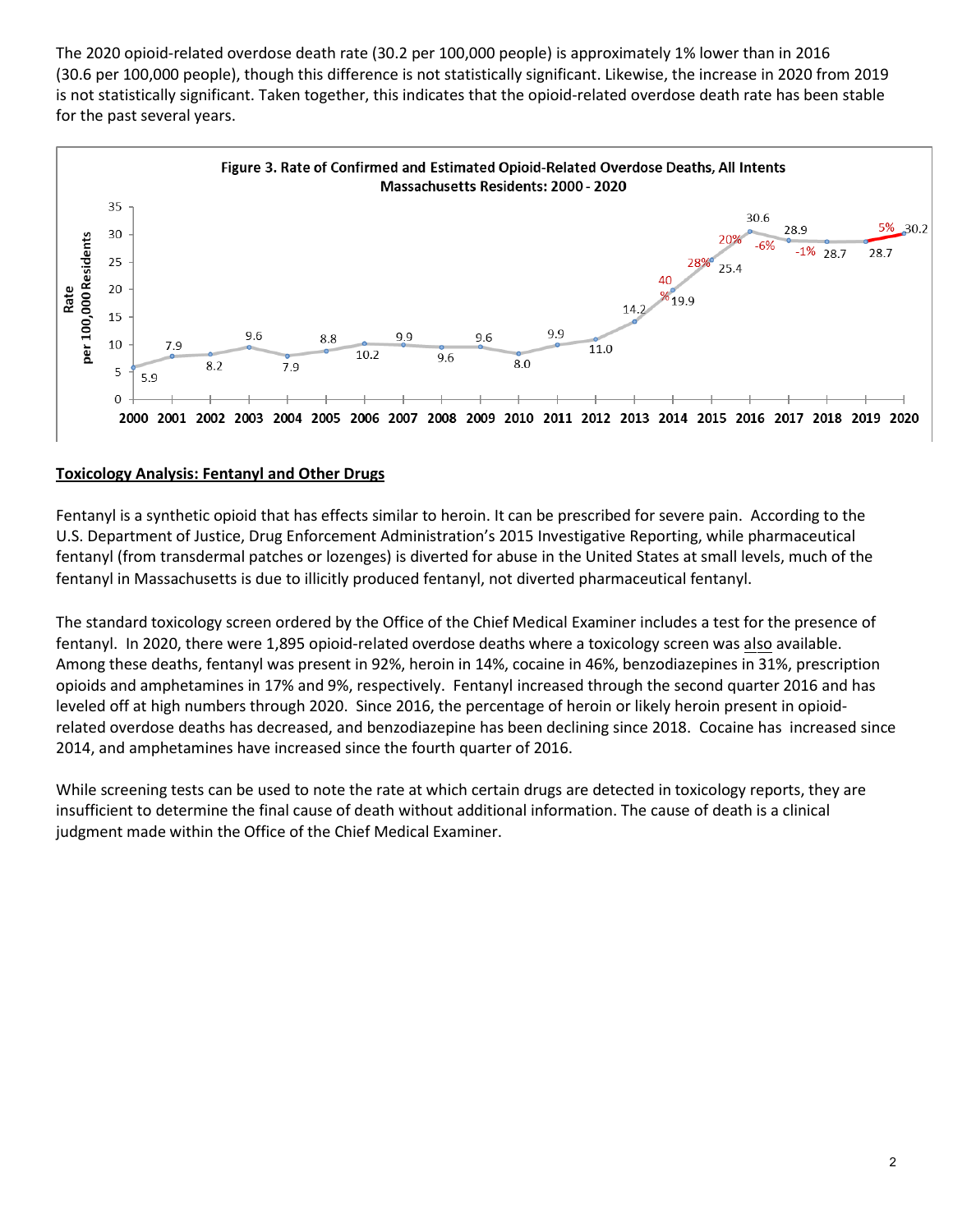The 2020 opioid-related overdose death rate (30.2 per 100,000 people) is approximately 1% lower than in 2016 (30.6 per 100,000 people), though this difference is not statistically significant. Likewise, the increase in 2020 from 2019 is not statistically significant. Taken together, this indicates that the opioid-related overdose death rate has been stable for the past several years.



## **Toxicology Analysis: Fentanyl and Other Drugs**

Fentanyl is a synthetic opioid that has effects similar to heroin. It can be prescribed for severe pain. According to the U.S. Department of Justice, Drug Enforcement Administration's 2015 Investigative Reporting, while pharmaceutical fentanyl (from transdermal patches or lozenges) is diverted for abuse in the United States at small levels, much of the fentanyl in Massachusetts is due to illicitly produced fentanyl, not diverted pharmaceutical fentanyl.

The standard toxicology screen ordered by the Office of the Chief Medical Examiner includes a test for the presence of fentanyl. In 2020, there were 1,895 opioid-related overdose deaths where a toxicology screen was also available. Among these deaths, fentanyl was present in 92%, heroin in 14%, cocaine in 46%, benzodiazepines in 31%, prescription opioids and amphetamines in 17% and 9%, respectively. Fentanyl increased through the second quarter 2016 and has leveled off at high numbers through 2020. Since 2016, the percentage of heroin or likely heroin present in opioidrelated overdose deaths has decreased, and benzodiazepine has been declining since 2018. Cocaine has increased since 2014, and amphetamines have increased since the fourth quarter of 2016.

While screening tests can be used to note the rate at which certain drugs are detected in toxicology reports, they are insufficient to determine the final cause of death without additional information. The cause of death is a clinical judgment made within the Office of the Chief Medical Examiner.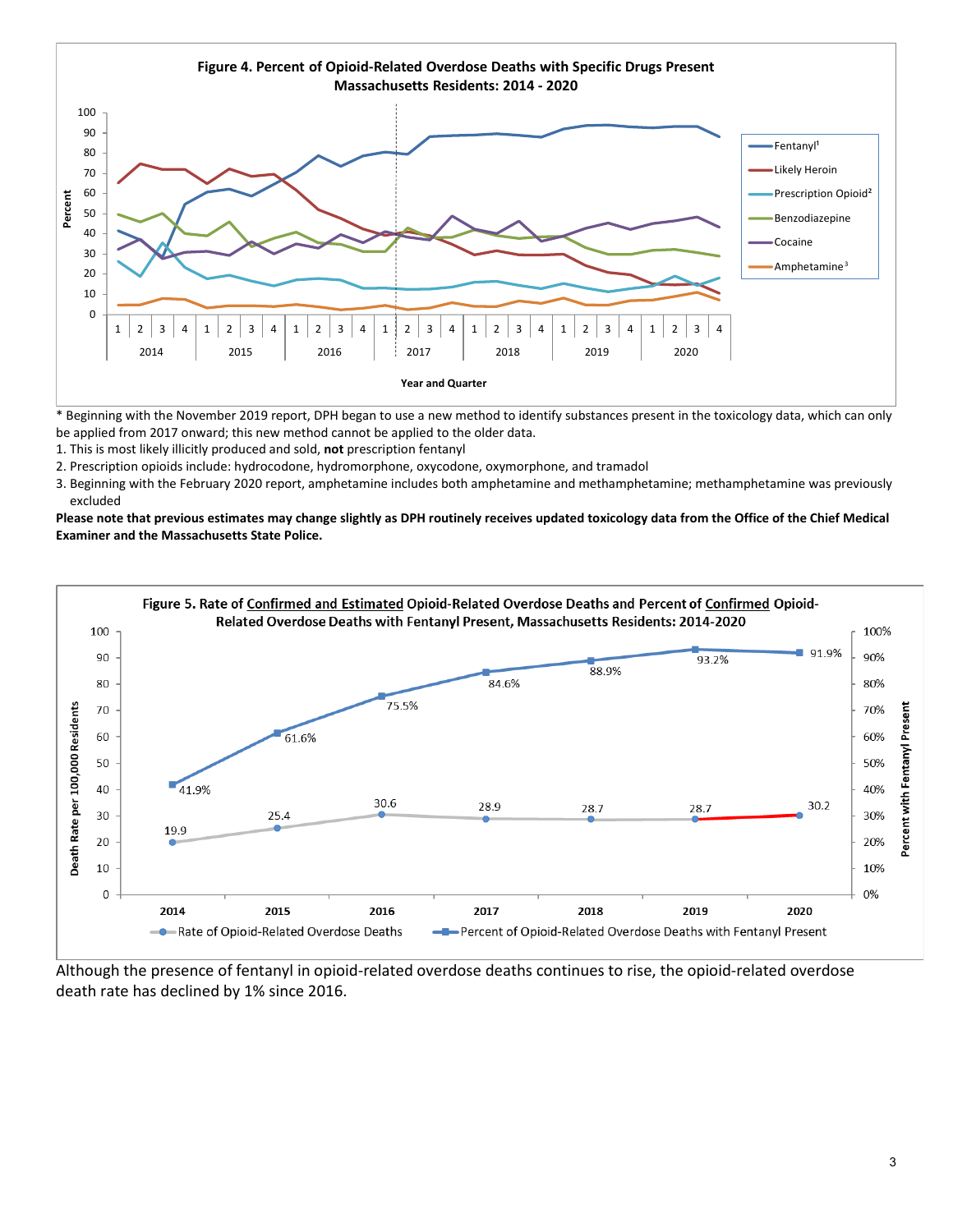

\* Beginning with the November 2019 report, DPH began to use a new method to identify substances present in the toxicology data, which can only be applied from 2017 onward; this new method cannot be applied to the older data.

- 1. This is most likely illicitly produced and sold, **not** prescription fentanyl
- 2. Prescription opioids include: hydrocodone, hydromorphone, oxycodone, oxymorphone, and tramadol
- 3. Beginning with the February 2020 report, amphetamine includes both amphetamine and methamphetamine; methamphetamine was previously excluded

**Please note that previous estimates may change slightly as DPH routinely receives updated toxicology data from the Office of the Chief Medical Examiner and the Massachusetts State Police.**



Although the presence of fentanyl in opioid-related overdose deaths continues to rise, the opioid-related overdose death rate has declined by 1% since 2016.